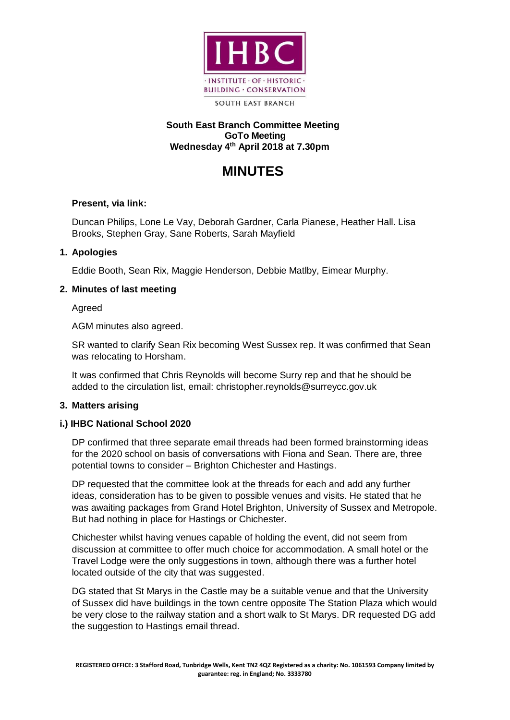

### **South East Branch Committee Meeting GoTo Meeting Wednesday 4 th April 2018 at 7.30pm**

# **MINUTES**

# **Present, via link:**

Duncan Philips, Lone Le Vay, Deborah Gardner, Carla Pianese, Heather Hall. Lisa Brooks, Stephen Gray, Sane Roberts, Sarah Mayfield

### **1. Apologies**

Eddie Booth, Sean Rix, Maggie Henderson, Debbie Matlby, Eimear Murphy.

### **2. Minutes of last meeting**

Agreed

AGM minutes also agreed.

SR wanted to clarify Sean Rix becoming West Sussex rep. It was confirmed that Sean was relocating to Horsham.

It was confirmed that Chris Reynolds will become Surry rep and that he should be added to the circulation list, email: christopher.reynolds@surreycc.gov.uk

### **3. Matters arising**

### **i.) IHBC National School 2020**

DP confirmed that three separate email threads had been formed brainstorming ideas for the 2020 school on basis of conversations with Fiona and Sean. There are, three potential towns to consider – Brighton Chichester and Hastings.

DP requested that the committee look at the threads for each and add any further ideas, consideration has to be given to possible venues and visits. He stated that he was awaiting packages from Grand Hotel Brighton, University of Sussex and Metropole. But had nothing in place for Hastings or Chichester.

Chichester whilst having venues capable of holding the event, did not seem from discussion at committee to offer much choice for accommodation. A small hotel or the Travel Lodge were the only suggestions in town, although there was a further hotel located outside of the city that was suggested.

DG stated that St Marys in the Castle may be a suitable venue and that the University of Sussex did have buildings in the town centre opposite The Station Plaza which would be very close to the railway station and a short walk to St Marys. DR requested DG add the suggestion to Hastings email thread.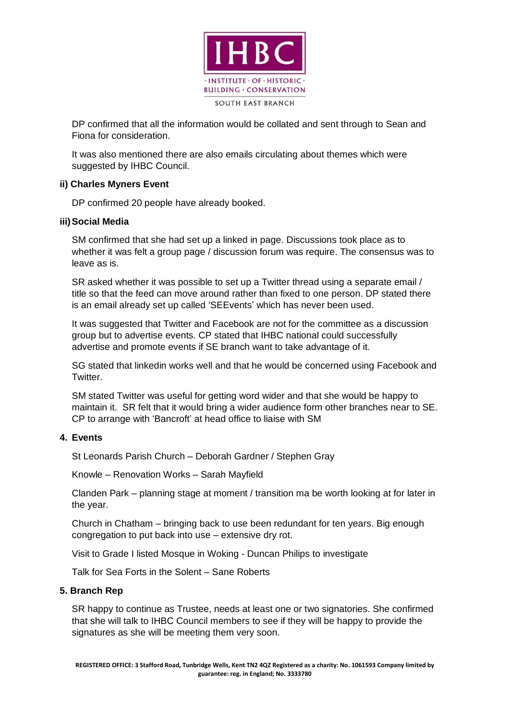

DP confirmed that all the information would be collated and sent through to Sean and Fiona for consideration.

It was also mentioned there are also emails circulating about themes which were suggested by IHBC Council.

### **ii) Charles Myners Event**

DP confirmed 20 people have already booked.

### **iii)Social Media**

SM confirmed that she had set up a linked in page. Discussions took place as to whether it was felt a group page / discussion forum was require. The consensus was to leave as is.

SR asked whether it was possible to set up a Twitter thread using a separate email / title so that the feed can move around rather than fixed to one person. DP stated there is an email already set up called 'SEEvents' which has never been used.

It was suggested that Twitter and Facebook are not for the committee as a discussion group but to advertise events. CP stated that IHBC national could successfully advertise and promote events if SE branch want to take advantage of it.

SG stated that linkedin works well and that he would be concerned using Facebook and Twitter.

SM stated Twitter was useful for getting word wider and that she would be happy to maintain it. SR felt that it would bring a wider audience form other branches near to SE. CP to arrange with 'Bancroft' at head office to liaise with SM

# **4. Events**

St Leonards Parish Church – Deborah Gardner / Stephen Gray

Knowle – Renovation Works – Sarah Mayfield

Clanden Park – planning stage at moment / transition ma be worth looking at for later in the year.

Church in Chatham – bringing back to use been redundant for ten years. Big enough congregation to put back into use – extensive dry rot.

Visit to Grade I listed Mosque in Woking - Duncan Philips to investigate

Talk for Sea Forts in the Solent – Sane Roberts

#### **5. Branch Rep**

SR happy to continue as Trustee, needs at least one or two signatories. She confirmed that she will talk to IHBC Council members to see if they will be happy to provide the signatures as she will be meeting them very soon.